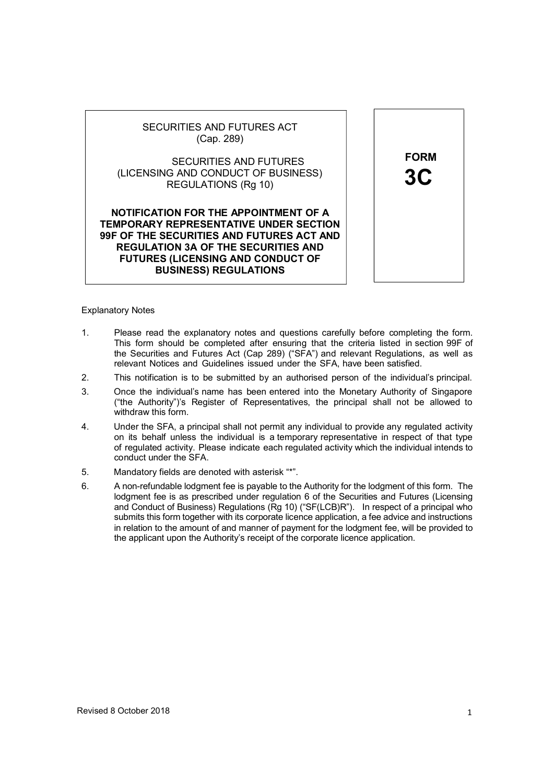

(LICENSING AND CONDUCT OF BUSINESS) REGULATIONS (Rg 10)

NOTIFICATION FOR THE APPOINTMENT OF A TEMPORARY REPRESENTATIVE UNDER SECTION 99F OF THE SECURITIES AND FUTURES ACT AND REGULATION 3A OF THE SECURITIES AND FUTURES (LICENSING AND CONDUCT OF BUSINESS) REGULATIONS



### Explanatory Notes

- 1. Please read the explanatory notes and questions carefully before completing the form. This form should be completed after ensuring that the criteria listed in section 99F of the Securities and Futures Act (Cap 289) ("SFA") and relevant Regulations, as well as relevant Notices and Guidelines issued under the SFA, have been satisfied.
- 2. This notification is to be submitted by an authorised person of the individual's principal.
- 3. Once the individual's name has been entered into the Monetary Authority of Singapore ("the Authority")'s Register of Representatives, the principal shall not be allowed to withdraw this form.
- 4. Under the SFA, a principal shall not permit any individual to provide any regulated activity on its behalf unless the individual is a temporary representative in respect of that type of regulated activity. Please indicate each regulated activity which the individual intends to conduct under the SFA.
- 5. Mandatory fields are denoted with asterisk "\*".
- 6. A non-refundable lodgment fee is payable to the Authority for the lodgment of this form. The lodgment fee is as prescribed under regulation 6 of the Securities and Futures (Licensing and Conduct of Business) Regulations (Rg 10) ("SF(LCB)R"). In respect of a principal who submits this form together with its corporate licence application, a fee advice and instructions in relation to the amount of and manner of payment for the lodgment fee, will be provided to the applicant upon the Authority's receipt of the corporate licence application.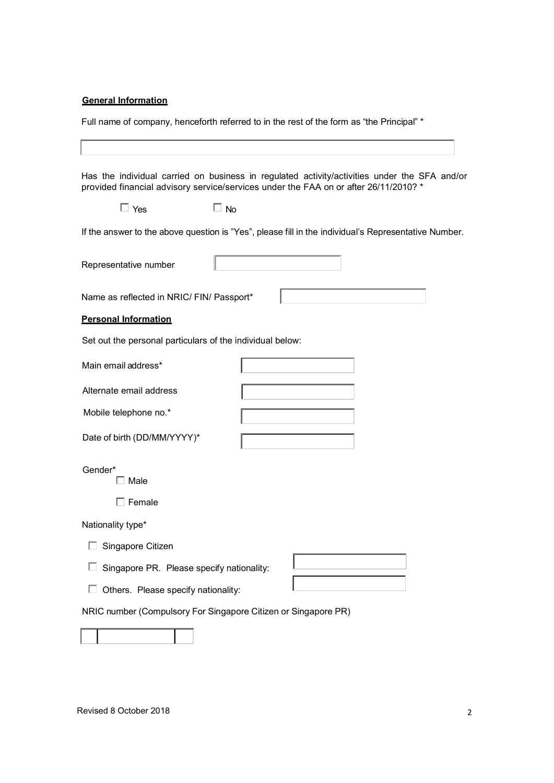# **General Information**

Full name of company, henceforth referred to in the rest of the form as "the Principal" \*

|                                                           | Has the individual carried on business in regulated activity/activities under the SFA and/or<br>provided financial advisory service/services under the FAA on or after 26/11/2010? * |
|-----------------------------------------------------------|--------------------------------------------------------------------------------------------------------------------------------------------------------------------------------------|
| $\Box$ Yes                                                | $\Box$ No                                                                                                                                                                            |
|                                                           | If the answer to the above question is "Yes", please fill in the individual's Representative Number.                                                                                 |
| Representative number                                     |                                                                                                                                                                                      |
| Name as reflected in NRIC/ FIN/ Passport*                 |                                                                                                                                                                                      |
| <b>Personal Information</b>                               |                                                                                                                                                                                      |
| Set out the personal particulars of the individual below: |                                                                                                                                                                                      |
| Main email address*                                       |                                                                                                                                                                                      |
| Alternate email address                                   |                                                                                                                                                                                      |
| Mobile telephone no.*                                     |                                                                                                                                                                                      |
| Date of birth (DD/MM/YYYY)*                               |                                                                                                                                                                                      |
| Gender*<br>Male                                           |                                                                                                                                                                                      |
| Female                                                    |                                                                                                                                                                                      |
| Nationality type*                                         |                                                                                                                                                                                      |
| Singapore Citizen                                         |                                                                                                                                                                                      |
| Singapore PR. Please specify nationality:                 |                                                                                                                                                                                      |
| Others. Please specify nationality:                       |                                                                                                                                                                                      |
|                                                           | NRIC number (Compulsory For Singapore Citizen or Singapore PR)                                                                                                                       |
|                                                           |                                                                                                                                                                                      |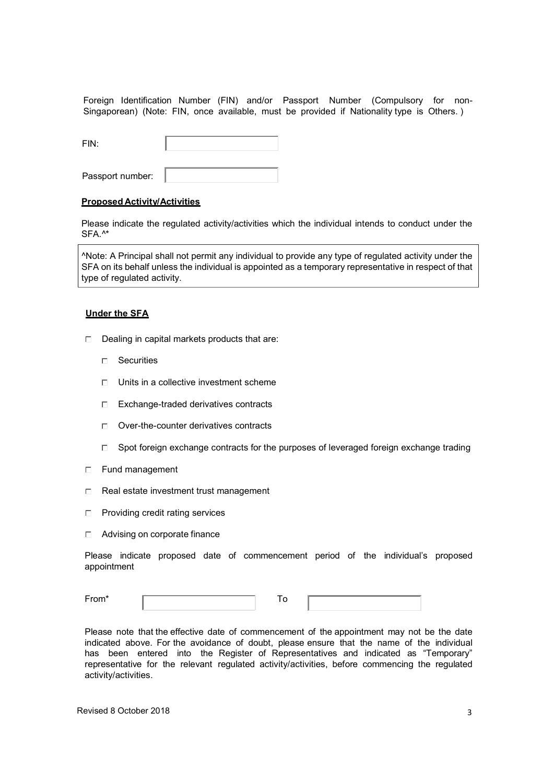Foreign Identification Number (FIN) and/or Passport Number (Compulsory for non-Singaporean) (Note: FIN, once available, must be provided if Nationality type is Others. )

| FIN:             |  |
|------------------|--|
| Passport number: |  |

### Proposed Activity/Activities

Please indicate the regulated activity/activities which the individual intends to conduct under the SFA.^\*

^Note: A Principal shall not permit any individual to provide any type of regulated activity under the SFA on its behalf unless the individual is appointed as a temporary representative in respect of that type of regulated activity.

### Under the SFA

- $\Box$  Dealing in capital markets products that are:
	- □ Securities
	- $\Box$  Units in a collective investment scheme
	- Exchange-traded derivatives contracts
	- □ Over-the-counter derivatives contracts
	- $\Box$  Spot foreign exchange contracts for the purposes of leveraged foreign exchange trading
- □ Fund management
- $\Box$  Real estate investment trust management
- □ Providing credit rating services
- □ Advising on corporate finance

Please indicate proposed date of commencement period of the individual's proposed appointment

Please note that the effective date of commencement of the appointment may not be the date indicated above. For the avoidance of doubt, please ensure that the name of the individual has been entered into the Register of Representatives and indicated as "Temporary" representative for the relevant regulated activity/activities, before commencing the regulated activity/activities.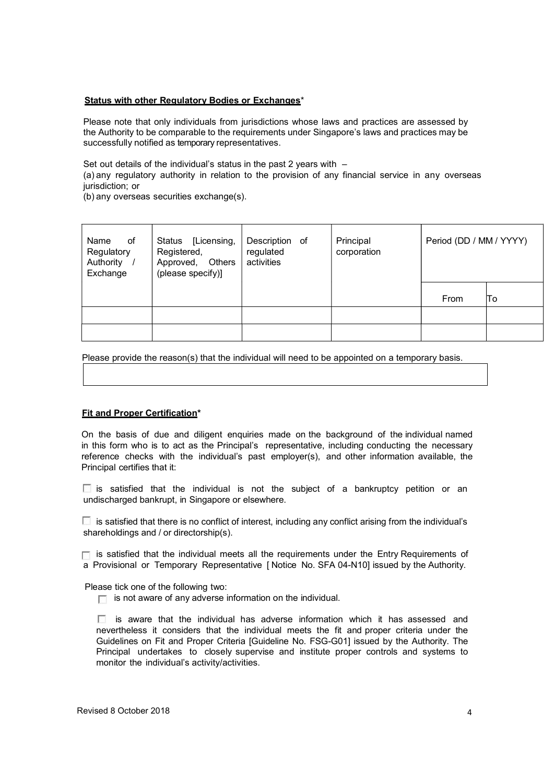#### Status with other Regulatory Bodies or Exchanges\*

Please note that only individuals from jurisdictions whose laws and practices are assessed by the Authority to be comparable to the requirements under Singapore's laws and practices may be successfully notified as temporary representatives.

Set out details of the individual's status in the past 2 years with  $-$ 

(a) any regulatory authority in relation to the provision of any financial service in any overseas jurisdiction; or

(b) any overseas securities exchange(s).

| Name<br>of<br>Regulatory<br>Authority<br>Exchange | [Licensing,<br>Status<br>Registered,<br>Approved,<br>Others<br>(please specify)] | Description of<br>regulated<br>activities | Principal<br>corporation | Period (DD / MM / YYYY) |     |
|---------------------------------------------------|----------------------------------------------------------------------------------|-------------------------------------------|--------------------------|-------------------------|-----|
|                                                   |                                                                                  |                                           |                          | From                    | ΙTο |
|                                                   |                                                                                  |                                           |                          |                         |     |
|                                                   |                                                                                  |                                           |                          |                         |     |

Please provide the reason(s) that the individual will need to be appointed on a temporary basis.

### Fit and Proper Certification\*

On the basis of due and diligent enquiries made on the background of the individual named in this form who is to act as the Principal's representative, including conducting the necessary reference checks with the individual's past employer(s), and other information available, the Principal certifies that it:

 $\Box$  is satisfied that the individual is not the subject of a bankruptcy petition or an undischarged bankrupt, in Singapore or elsewhere.

 $\Box$  is satisfied that there is no conflict of interest, including any conflict arising from the individual's shareholdings and / or directorship(s).

 $\Box$  is satisfied that the individual meets all the requirements under the Entry Requirements of a Provisional or Temporary Representative [ Notice No. SFA 04-N10] issued by the Authority.

Please tick one of the following two:

 $\Box$  is not aware of any adverse information on the individual.

 $\Box$  is aware that the individual has adverse information which it has assessed and nevertheless it considers that the individual meets the fit and proper criteria under the Guidelines on Fit and Proper Criteria [Guideline No. FSG-G01] issued by the Authority. The Principal undertakes to closely supervise and institute proper controls and systems to monitor the individual's activity/activities.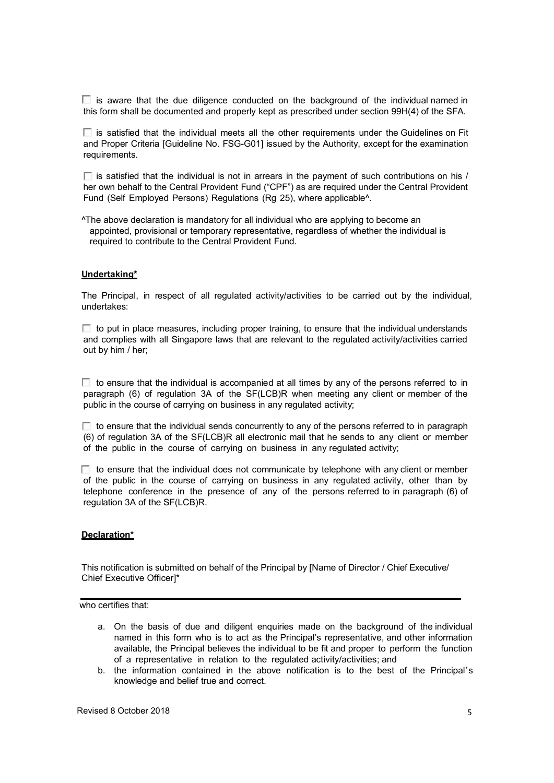$\Box$  is aware that the due diligence conducted on the background of the individual named in this form shall be documented and properly kept as prescribed under section 99H(4) of the SFA.

 $\Box$  is satisfied that the individual meets all the other requirements under the Guidelines on Fit and Proper Criteria [Guideline No. FSG-G01] issued by the Authority, except for the examination requirements.

 $\Box$  is satisfied that the individual is not in arrears in the payment of such contributions on his / her own behalf to the Central Provident Fund ("CPF") as are required under the Central Provident Fund (Self Employed Persons) Regulations (Rg 25), where applicable^.

^The above declaration is mandatory for all individual who are applying to become an appointed, provisional or temporary representative, regardless of whether the individual is required to contribute to the Central Provident Fund.

#### Undertaking\*

The Principal, in respect of all regulated activity/activities to be carried out by the individual, undertakes:

 $\Box$  to put in place measures, including proper training, to ensure that the individual understands and complies with all Singapore laws that are relevant to the regulated activity/activities carried out by him / her;

 $\Box$  to ensure that the individual is accompanied at all times by any of the persons referred to in paragraph (6) of regulation 3A of the SF(LCB)R when meeting any client or member of the public in the course of carrying on business in any regulated activity;

 $\Box$  to ensure that the individual sends concurrently to any of the persons referred to in paragraph (6) of regulation 3A of the SF(LCB)R all electronic mail that he sends to any client or member of the public in the course of carrying on business in any regulated activity;

 $\Box$  to ensure that the individual does not communicate by telephone with any client or member of the public in the course of carrying on business in any regulated activity, other than by telephone conference in the presence of any of the persons referred to in paragraph (6) of regulation 3A of the SF(LCB)R.

#### Declaration\*

This notification is submitted on behalf of the Principal by [Name of Director / Chief Executive/ Chief Executive Officer]\*

who certifies that:

- a. On the basis of due and diligent enquiries made on the background of the individual named in this form who is to act as the Principal's representative, and other information available, the Principal believes the individual to be fit and proper to perform the function of a representative in relation to the regulated activity/activities; and
- b. the information contained in the above notification is to the best of the Principal's knowledge and belief true and correct.